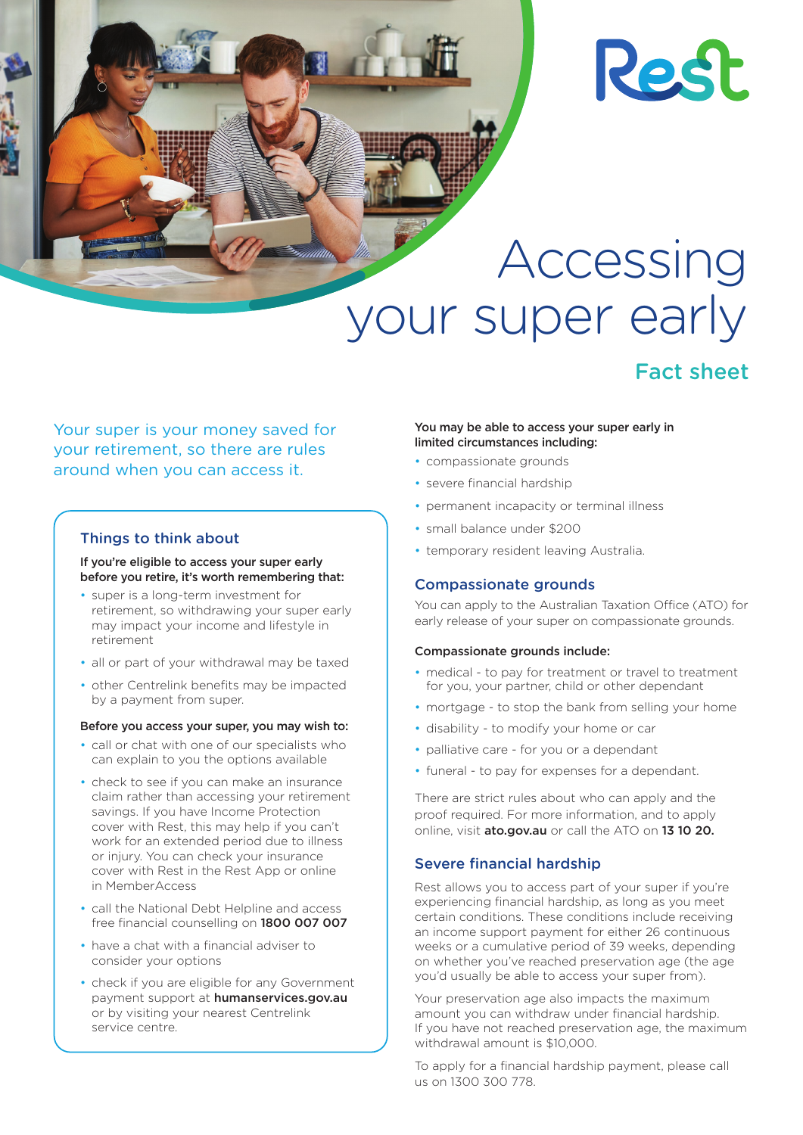# **Rest**

Accessing your super early

## Fact sheet

### Your super is your money saved for your retirement, so there are rules around when you can access it.

#### Things to think about

If you're eligible to access your super early before you retire, it's worth remembering that:

- super is a long-term investment for retirement, so withdrawing your super early may impact your income and lifestyle in retirement
- all or part of your withdrawal may be taxed
- other Centrelink benefits may be impacted by a payment from super.

#### Before you access your super, you may wish to:

- call or chat with one of our specialists who can explain to you the options available
- check to see if you can make an insurance claim rather than accessing your retirement savings. If you have Income Protection cover with Rest, this may help if you can't work for an extended period due to illness or injury. You can check your insurance cover with Rest in the Rest App or online in MemberAccess
- call the National Debt Helpline and access free financial counselling on 1800 007 007
- have a chat with a financial adviser to consider your options
- check if you are eligible for any Government payment support at humanservices.gov.au or by visiting your nearest Centrelink service centre.

#### You may be able to access your super early in limited circumstances including:

- compassionate grounds
- severe financial hardship
- permanent incapacity or terminal illness
- small balance under \$200
- temporary resident leaving Australia.

#### Compassionate grounds

You can apply to the Australian Taxation Office (ATO) for early release of your super on compassionate grounds.

#### Compassionate grounds include:

- medical to pay for treatment or travel to treatment for you, your partner, child or other dependant
- mortgage to stop the bank from selling your home
- disability to modify your home or car
- palliative care for you or a dependant
- funeral to pay for expenses for a dependant.

There are strict rules about who can apply and the proof required. For more information, and to apply online, visit ato.gov.au or call the ATO on 13 10 20.

#### Severe financial hardship

Rest allows you to access part of your super if you're experiencing financial hardship, as long as you meet certain conditions. These conditions include receiving an income support payment for either 26 continuous weeks or a cumulative period of 39 weeks, depending on whether you've reached preservation age (the age you'd usually be able to access your super from).

Your preservation age also impacts the maximum amount you can withdraw under financial hardship. If you have not reached preservation age, the maximum withdrawal amount is \$10,000.

To apply for a financial hardship payment, please call us on 1300 300 778.